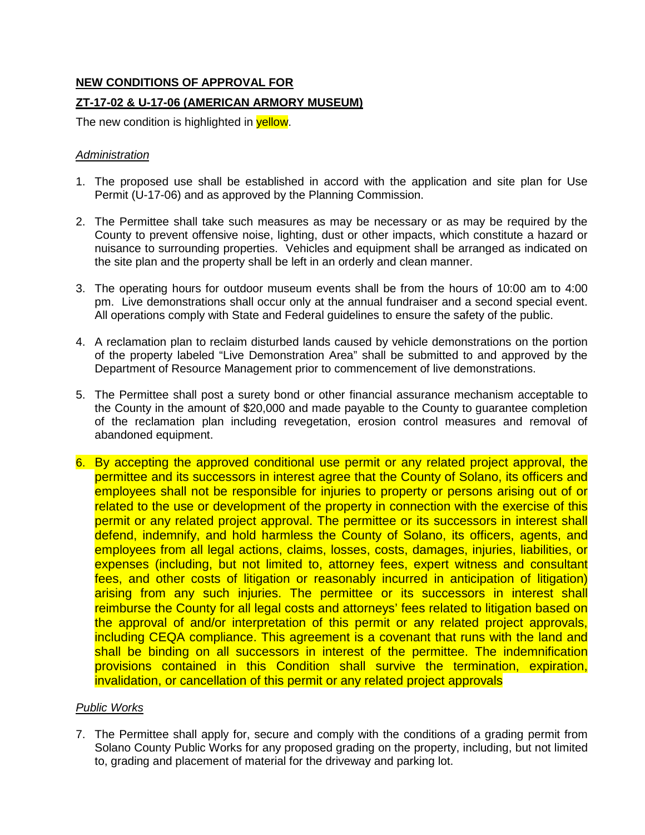# **NEW CONDITIONS OF APPROVAL FOR**

## **ZT-17-02 & U-17-06 (AMERICAN ARMORY MUSEUM)**

The new condition is highlighted in yellow.

#### *Administration*

- 1. The proposed use shall be established in accord with the application and site plan for Use Permit (U-17-06) and as approved by the Planning Commission.
- 2. The Permittee shall take such measures as may be necessary or as may be required by the County to prevent offensive noise, lighting, dust or other impacts, which constitute a hazard or nuisance to surrounding properties. Vehicles and equipment shall be arranged as indicated on the site plan and the property shall be left in an orderly and clean manner.
- 3. The operating hours for outdoor museum events shall be from the hours of 10:00 am to 4:00 pm. Live demonstrations shall occur only at the annual fundraiser and a second special event. All operations comply with State and Federal guidelines to ensure the safety of the public.
- 4. A reclamation plan to reclaim disturbed lands caused by vehicle demonstrations on the portion of the property labeled "Live Demonstration Area" shall be submitted to and approved by the Department of Resource Management prior to commencement of live demonstrations.
- 5. The Permittee shall post a surety bond or other financial assurance mechanism acceptable to the County in the amount of \$20,000 and made payable to the County to guarantee completion of the reclamation plan including revegetation, erosion control measures and removal of abandoned equipment.
- 6. By accepting the approved conditional use permit or any related project approval, the permittee and its successors in interest agree that the County of Solano, its officers and employees shall not be responsible for injuries to property or persons arising out of or related to the use or development of the property in connection with the exercise of this permit or any related project approval. The permittee or its successors in interest shall defend, indemnify, and hold harmless the County of Solano, its officers, agents, and employees from all legal actions, claims, losses, costs, damages, injuries, liabilities, or expenses (including, but not limited to, attorney fees, expert witness and consultant fees, and other costs of litigation or reasonably incurred in anticipation of litigation) arising from any such injuries. The permittee or its successors in interest shall reimburse the County for all legal costs and attorneys' fees related to litigation based on the approval of and/or interpretation of this permit or any related project approvals, including CEQA compliance. This agreement is a covenant that runs with the land and shall be binding on all successors in interest of the permittee. The indemnification provisions contained in this Condition shall survive the termination, expiration, invalidation, or cancellation of this permit or any related project approvals

## *Public Works*

7. The Permittee shall apply for, secure and comply with the conditions of a grading permit from Solano County Public Works for any proposed grading on the property, including, but not limited to, grading and placement of material for the driveway and parking lot.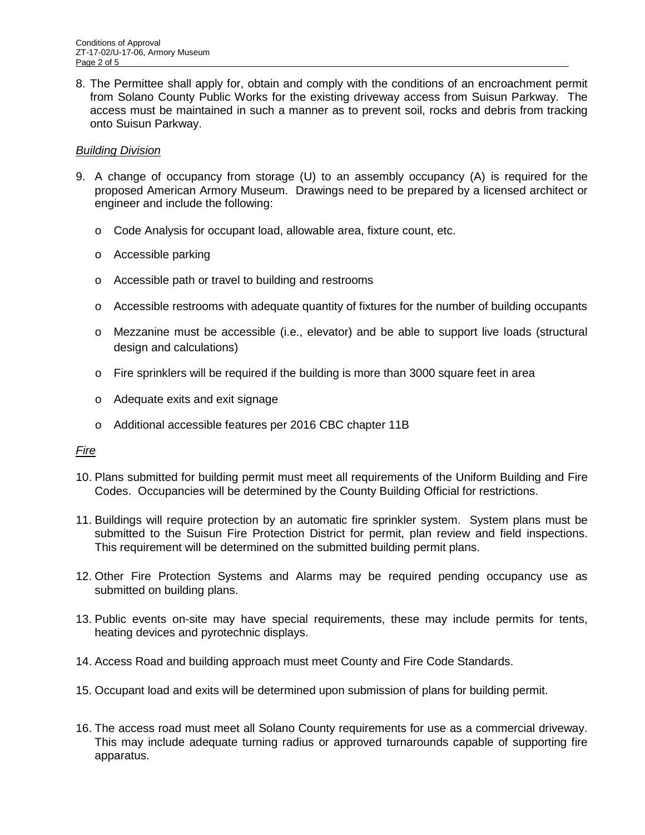8. The Permittee shall apply for, obtain and comply with the conditions of an encroachment permit from Solano County Public Works for the existing driveway access from Suisun Parkway. The access must be maintained in such a manner as to prevent soil, rocks and debris from tracking onto Suisun Parkway.

### *Building Division*

- 9. A change of occupancy from storage (U) to an assembly occupancy (A) is required for the proposed American Armory Museum. Drawings need to be prepared by a licensed architect or engineer and include the following:
	- o Code Analysis for occupant load, allowable area, fixture count, etc.
	- o Accessible parking
	- o Accessible path or travel to building and restrooms
	- $\circ$  Accessible restrooms with adequate quantity of fixtures for the number of building occupants
	- o Mezzanine must be accessible (i.e., elevator) and be able to support live loads (structural design and calculations)
	- $\circ$  Fire sprinklers will be required if the building is more than 3000 square feet in area
	- o Adequate exits and exit signage
	- o Additional accessible features per 2016 CBC chapter 11B

#### *Fire*

- 10. Plans submitted for building permit must meet all requirements of the Uniform Building and Fire Codes. Occupancies will be determined by the County Building Official for restrictions.
- 11. Buildings will require protection by an automatic fire sprinkler system. System plans must be submitted to the Suisun Fire Protection District for permit, plan review and field inspections. This requirement will be determined on the submitted building permit plans.
- 12. Other Fire Protection Systems and Alarms may be required pending occupancy use as submitted on building plans.
- 13. Public events on-site may have special requirements, these may include permits for tents, heating devices and pyrotechnic displays.
- 14. Access Road and building approach must meet County and Fire Code Standards.
- 15. Occupant load and exits will be determined upon submission of plans for building permit.
- 16. The access road must meet all Solano County requirements for use as a commercial driveway. This may include adequate turning radius or approved turnarounds capable of supporting fire apparatus.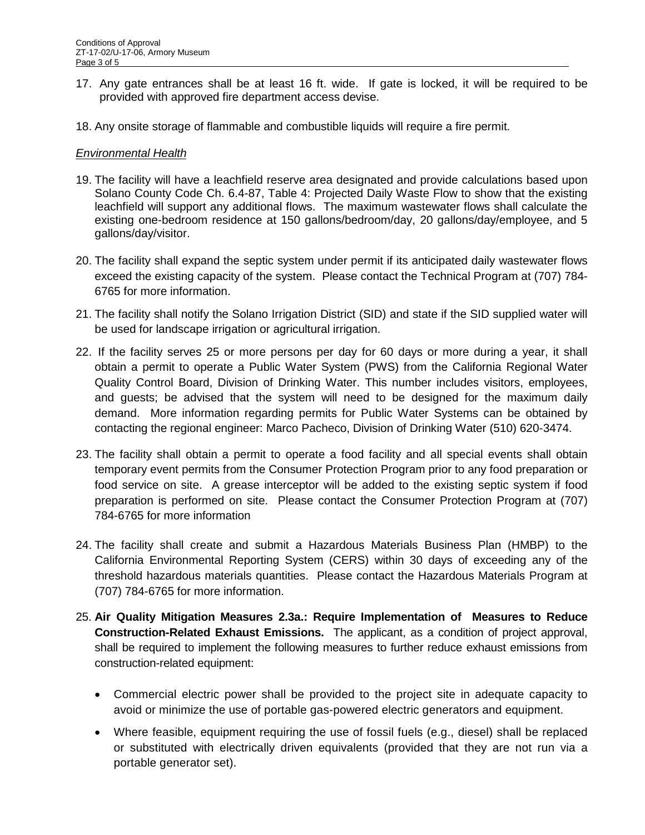- 17. Any gate entrances shall be at least 16 ft. wide. If gate is locked, it will be required to be provided with approved fire department access devise.
- 18. Any onsite storage of flammable and combustible liquids will require a fire permit.

### *Environmental Health*

- 19. The facility will have a leachfield reserve area designated and provide calculations based upon Solano County Code Ch. 6.4-87, Table 4: Projected Daily Waste Flow to show that the existing leachfield will support any additional flows. The maximum wastewater flows shall calculate the existing one-bedroom residence at 150 gallons/bedroom/day, 20 gallons/day/employee, and 5 gallons/day/visitor.
- 20. The facility shall expand the septic system under permit if its anticipated daily wastewater flows exceed the existing capacity of the system. Please contact the Technical Program at (707) 784- 6765 for more information.
- 21. The facility shall notify the Solano Irrigation District (SID) and state if the SID supplied water will be used for landscape irrigation or agricultural irrigation.
- 22. If the facility serves 25 or more persons per day for 60 days or more during a year, it shall obtain a permit to operate a Public Water System (PWS) from the California Regional Water Quality Control Board, Division of Drinking Water. This number includes visitors, employees, and guests; be advised that the system will need to be designed for the maximum daily demand. More information regarding permits for Public Water Systems can be obtained by contacting the regional engineer: Marco Pacheco, Division of Drinking Water (510) 620-3474.
- 23. The facility shall obtain a permit to operate a food facility and all special events shall obtain temporary event permits from the Consumer Protection Program prior to any food preparation or food service on site. A grease interceptor will be added to the existing septic system if food preparation is performed on site. Please contact the Consumer Protection Program at (707) 784-6765 for more information
- 24. The facility shall create and submit a Hazardous Materials Business Plan (HMBP) to the California Environmental Reporting System (CERS) within 30 days of exceeding any of the threshold hazardous materials quantities. Please contact the Hazardous Materials Program at (707) 784-6765 for more information.
- 25. **Air Quality Mitigation Measures 2.3a.: Require Implementation of Measures to Reduce Construction-Related Exhaust Emissions.** The applicant, as a condition of project approval, shall be required to implement the following measures to further reduce exhaust emissions from construction-related equipment:
	- Commercial electric power shall be provided to the project site in adequate capacity to avoid or minimize the use of portable gas-powered electric generators and equipment.
	- Where feasible, equipment requiring the use of fossil fuels (e.g., diesel) shall be replaced or substituted with electrically driven equivalents (provided that they are not run via a portable generator set).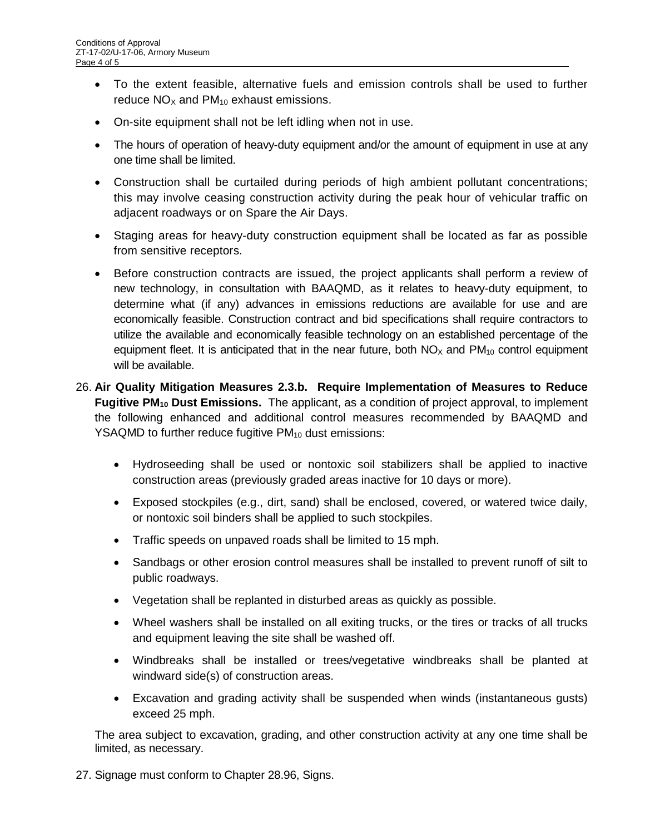- To the extent feasible, alternative fuels and emission controls shall be used to further reduce  $NO<sub>x</sub>$  and  $PM<sub>10</sub>$  exhaust emissions.
- On-site equipment shall not be left idling when not in use.
- The hours of operation of heavy-duty equipment and/or the amount of equipment in use at any one time shall be limited.
- Construction shall be curtailed during periods of high ambient pollutant concentrations; this may involve ceasing construction activity during the peak hour of vehicular traffic on adjacent roadways or on Spare the Air Days.
- Staging areas for heavy-duty construction equipment shall be located as far as possible from sensitive receptors.
- Before construction contracts are issued, the project applicants shall perform a review of new technology, in consultation with BAAQMD, as it relates to heavy-duty equipment, to determine what (if any) advances in emissions reductions are available for use and are economically feasible. Construction contract and bid specifications shall require contractors to utilize the available and economically feasible technology on an established percentage of the equipment fleet. It is anticipated that in the near future, both  $NO<sub>X</sub>$  and  $PM<sub>10</sub>$  control equipment will be available.
- 26. **Air Quality Mitigation Measures 2.3.b. Require Implementation of Measures to Reduce Fugitive PM<sub>10</sub> Dust Emissions.** The applicant, as a condition of project approval, to implement the following enhanced and additional control measures recommended by BAAQMD and YSAQMD to further reduce fugitive  $PM_{10}$  dust emissions:
	- Hydroseeding shall be used or nontoxic soil stabilizers shall be applied to inactive construction areas (previously graded areas inactive for 10 days or more).
	- Exposed stockpiles (e.g., dirt, sand) shall be enclosed, covered, or watered twice daily, or nontoxic soil binders shall be applied to such stockpiles.
	- Traffic speeds on unpaved roads shall be limited to 15 mph.
	- Sandbags or other erosion control measures shall be installed to prevent runoff of silt to public roadways.
	- Vegetation shall be replanted in disturbed areas as quickly as possible.
	- Wheel washers shall be installed on all exiting trucks, or the tires or tracks of all trucks and equipment leaving the site shall be washed off.
	- Windbreaks shall be installed or trees/vegetative windbreaks shall be planted at windward side(s) of construction areas.
	- Excavation and grading activity shall be suspended when winds (instantaneous gusts) exceed 25 mph.

The area subject to excavation, grading, and other construction activity at any one time shall be limited, as necessary.

27. Signage must conform to Chapter 28.96, Signs.